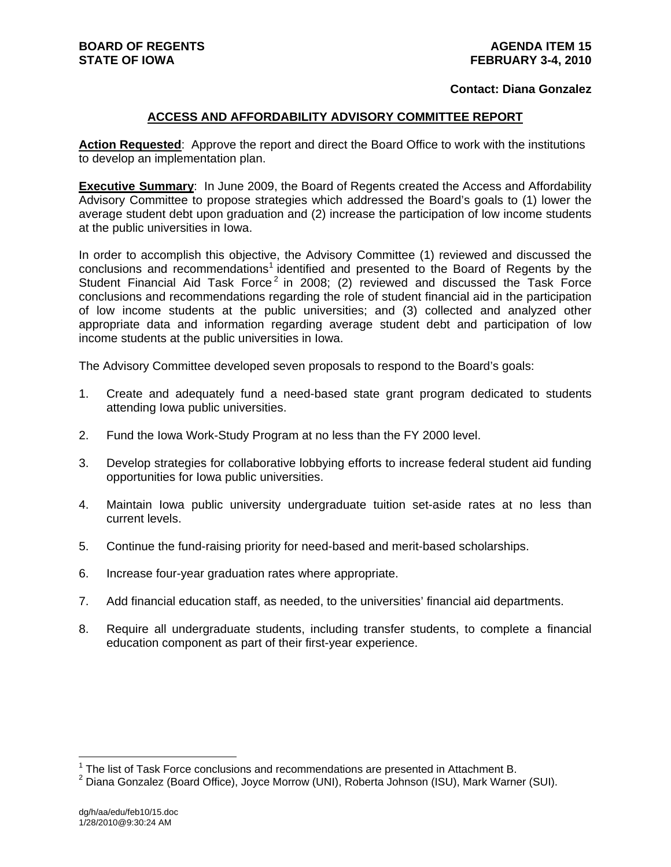#### **Contact: Diana Gonzalez**

#### **ACCESS AND AFFORDABILITY ADVISORY COMMITTEE REPORT**

**Action Requested**: Approve the report and direct the Board Office to work with the institutions to develop an implementation plan.

**Executive Summary**: In June 2009, the Board of Regents created the Access and Affordability Advisory Committee to propose strategies which addressed the Board's goals to (1) lower the average student debt upon graduation and (2) increase the participation of low income students at the public universities in Iowa.

In order to accomplish this objective, the Advisory Committee (1) reviewed and discussed the conclusions and recommendations<sup>1</sup> identified and presented to the Board of Regents by the Student Financial Aid Task Force<sup>2</sup> in 2008; (2) reviewed and discussed the Task Force conclusions and recommendations regarding the role of student financial aid in the participation of low income students at the public universities; and (3) collected and analyzed other appropriate data and information regarding average student debt and participation of low income students at the public universities in Iowa.

The Advisory Committee developed seven proposals to respond to the Board's goals:

- 1. Create and adequately fund a need-based state grant program dedicated to students attending Iowa public universities.
- 2. Fund the Iowa Work-Study Program at no less than the FY 2000 level.
- 3. Develop strategies for collaborative lobbying efforts to increase federal student aid funding opportunities for Iowa public universities.
- 4. Maintain Iowa public university undergraduate tuition set-aside rates at no less than current levels.
- 5. Continue the fund-raising priority for need-based and merit-based scholarships.
- 6. Increase four-year graduation rates where appropriate.
- 7. Add financial education staff, as needed, to the universities' financial aid departments.
- 8. Require all undergraduate students, including transfer students, to complete a financial education component as part of their first-year experience.

 1 The list of Task Force conclusions and recommendations are presented in Attachment B.

<sup>&</sup>lt;sup>2</sup> Diana Gonzalez (Board Office), Joyce Morrow (UNI), Roberta Johnson (ISU), Mark Warner (SUI).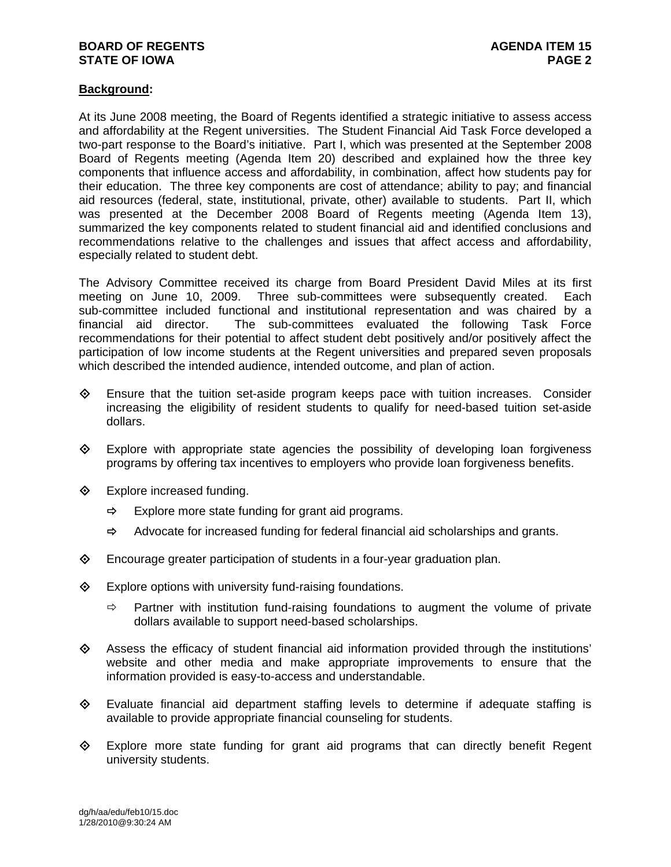# **BOARD OF REGENTS AGENUS AGENDA ITEM 15 STATE OF IOWA** PAGE 2 **PAGE 2**

### **Background:**

At its June 2008 meeting, the Board of Regents identified a strategic initiative to assess access and affordability at the Regent universities. The Student Financial Aid Task Force developed a two-part response to the Board's initiative. Part I, which was presented at the September 2008 Board of Regents meeting (Agenda Item 20) described and explained how the three key components that influence access and affordability, in combination, affect how students pay for their education. The three key components are cost of attendance; ability to pay; and financial aid resources (federal, state, institutional, private, other) available to students. Part II, which was presented at the December 2008 Board of Regents meeting (Agenda Item 13), summarized the key components related to student financial aid and identified conclusions and recommendations relative to the challenges and issues that affect access and affordability, especially related to student debt.

The Advisory Committee received its charge from Board President David Miles at its first meeting on June 10, 2009. Three sub-committees were subsequently created. Each sub-committee included functional and institutional representation and was chaired by a financial aid director. The sub-committees evaluated the following Task Force recommendations for their potential to affect student debt positively and/or positively affect the participation of low income students at the Regent universities and prepared seven proposals which described the intended audience, intended outcome, and plan of action.

- $\diamond$  Ensure that the tuition set-aside program keeps pace with tuition increases. Consider increasing the eligibility of resident students to qualify for need-based tuition set-aside dollars.
- $\diamondsuit$  Explore with appropriate state agencies the possibility of developing loan forgiveness programs by offering tax incentives to employers who provide loan forgiveness benefits.
- **♦** Explore increased funding.
	- $\Rightarrow$  Explore more state funding for grant aid programs.
	- $\Rightarrow$  Advocate for increased funding for federal financial aid scholarships and grants.
- Encourage greater participation of students in a four-year graduation plan.
- $\diamond$  Explore options with university fund-raising foundations.
	- $\Rightarrow$  Partner with institution fund-raising foundations to augment the volume of private dollars available to support need-based scholarships.
- $\Diamond$  Assess the efficacy of student financial aid information provided through the institutions' website and other media and make appropriate improvements to ensure that the information provided is easy-to-access and understandable.
- Evaluate financial aid department staffing levels to determine if adequate staffing is available to provide appropriate financial counseling for students.
- Explore more state funding for grant aid programs that can directly benefit Regent university students.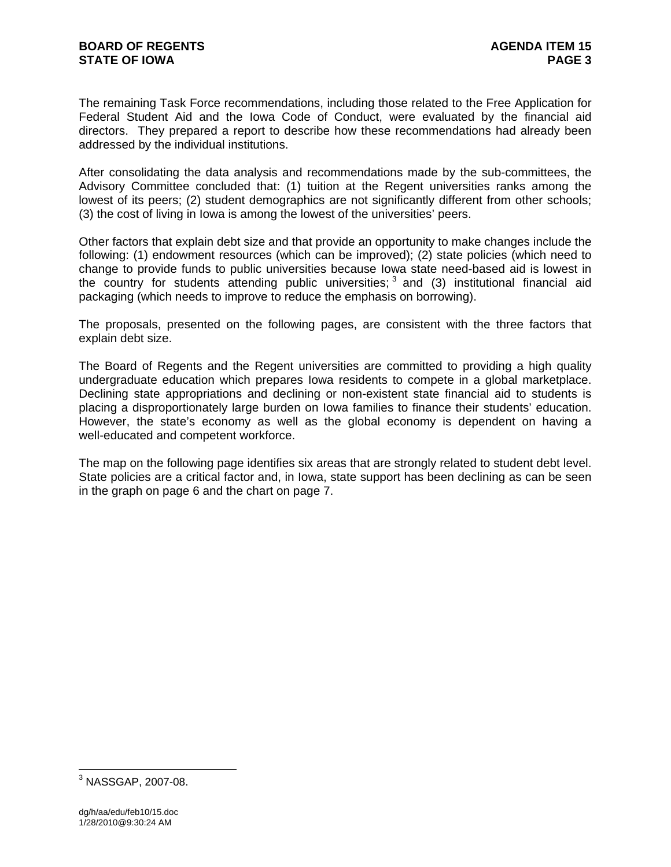The remaining Task Force recommendations, including those related to the Free Application for Federal Student Aid and the Iowa Code of Conduct, were evaluated by the financial aid directors. They prepared a report to describe how these recommendations had already been addressed by the individual institutions.

After consolidating the data analysis and recommendations made by the sub-committees, the Advisory Committee concluded that: (1) tuition at the Regent universities ranks among the lowest of its peers; (2) student demographics are not significantly different from other schools; (3) the cost of living in Iowa is among the lowest of the universities' peers.

Other factors that explain debt size and that provide an opportunity to make changes include the following: (1) endowment resources (which can be improved); (2) state policies (which need to change to provide funds to public universities because Iowa state need-based aid is lowest in the country for students attending public universities;  $3$  and (3) institutional financial aid packaging (which needs to improve to reduce the emphasis on borrowing).

The proposals, presented on the following pages, are consistent with the three factors that explain debt size.

The Board of Regents and the Regent universities are committed to providing a high quality undergraduate education which prepares Iowa residents to compete in a global marketplace. Declining state appropriations and declining or non-existent state financial aid to students is placing a disproportionately large burden on Iowa families to finance their students' education. However, the state's economy as well as the global economy is dependent on having a well-educated and competent workforce.

The map on the following page identifies six areas that are strongly related to student debt level. State policies are a critical factor and, in Iowa, state support has been declining as can be seen in the graph on page 6 and the chart on page 7.

 3 NASSGAP, 2007-08.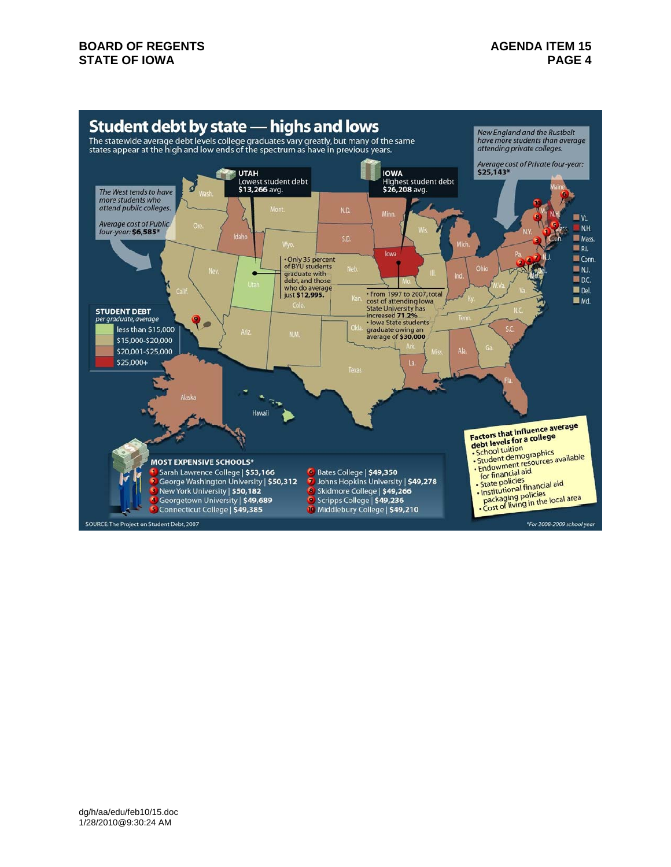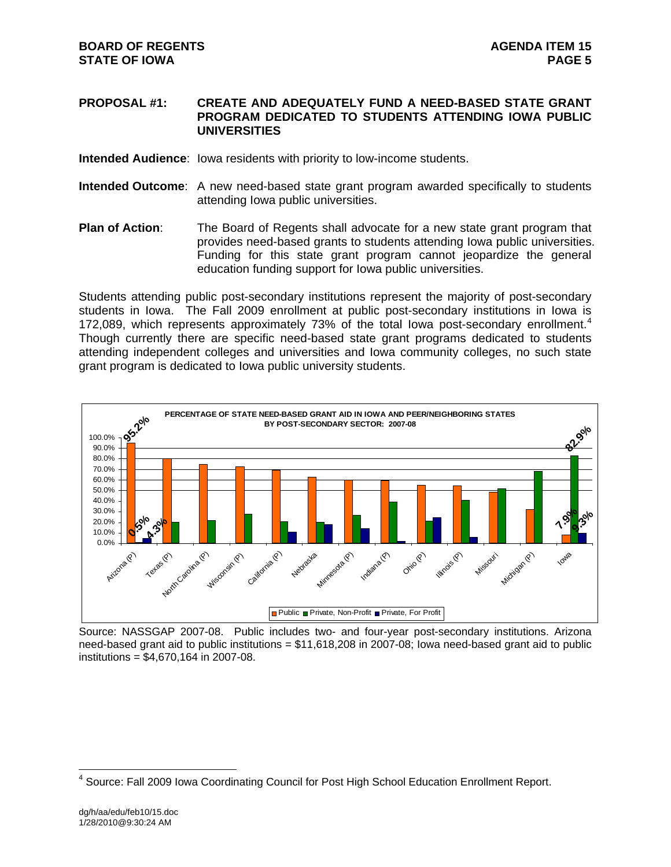#### **PROPOSAL #1: CREATE AND ADEQUATELY FUND A NEED-BASED STATE GRANT PROGRAM DEDICATED TO STUDENTS ATTENDING IOWA PUBLIC UNIVERSITIES**

**Intended Audience**: Iowa residents with priority to low-income students.

- **Intended Outcome**: A new need-based state grant program awarded specifically to students attending Iowa public universities.
- **Plan of Action:** The Board of Regents shall advocate for a new state grant program that provides need-based grants to students attending Iowa public universities. Funding for this state grant program cannot jeopardize the general education funding support for Iowa public universities.

Students attending public post-secondary institutions represent the majority of post-secondary students in Iowa. The Fall 2009 enrollment at public post-secondary institutions in Iowa is 172,089, which represents approximately 73% of the total lowa post-secondary enrollment.<sup>4</sup> Though currently there are specific need-based state grant programs dedicated to students attending independent colleges and universities and Iowa community colleges, no such state grant program is dedicated to Iowa public university students.



Source: NASSGAP 2007-08. Public includes two- and four-year post-secondary institutions. Arizona need-based grant aid to public institutions =  $$11,618,208$  in 2007-08; lowa need-based grant aid to public institutions = \$4,670,164 in 2007-08.

 $\overline{a}$ <sup>4</sup> Source: Fall 2009 Iowa Coordinating Council for Post High School Education Enrollment Report.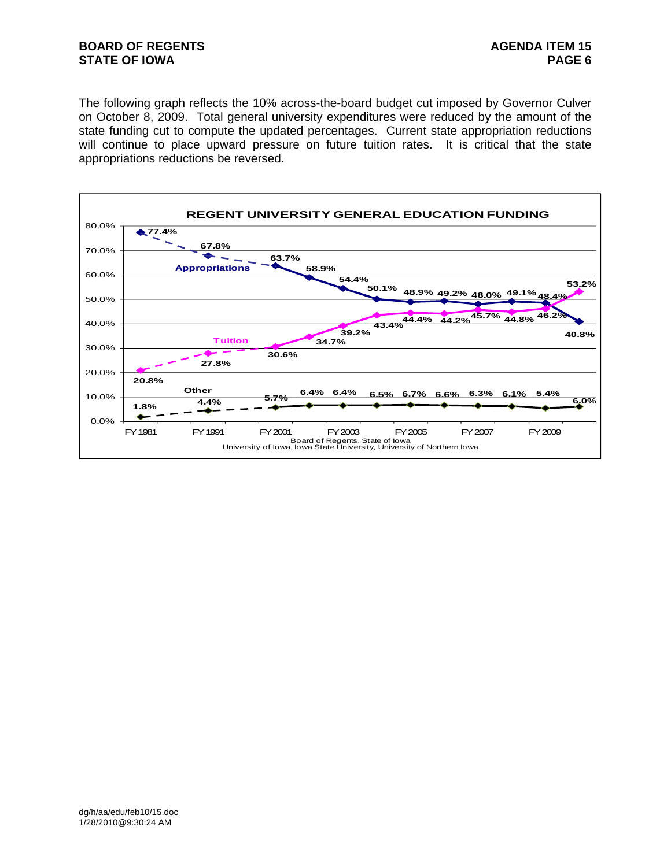# **BOARD OF REGENTS AGENUS AGENDA ITEM 15 STATE OF IOWA** PAGE 6 **PAGE 6**

The following graph reflects the 10% across-the-board budget cut imposed by Governor Culver on October 8, 2009. Total general university expenditures were reduced by the amount of the state funding cut to compute the updated percentages. Current state appropriation reductions will continue to place upward pressure on future tuition rates. It is critical that the state appropriations reductions be reversed.

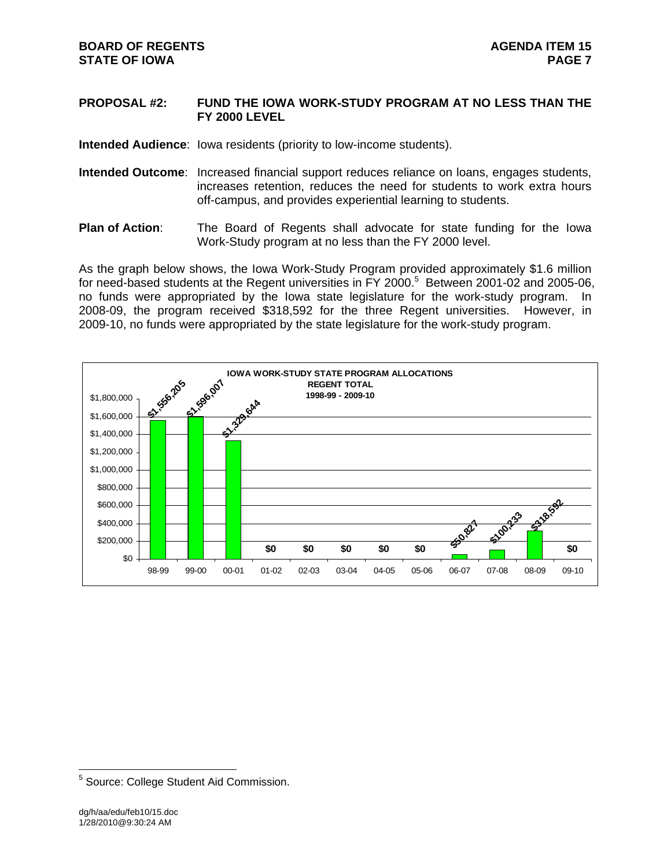### **PROPOSAL #2: FUND THE IOWA WORK-STUDY PROGRAM AT NO LESS THAN THE FY 2000 LEVEL**

**Intended Audience**: Iowa residents (priority to low-income students).

- **Intended Outcome**: Increased financial support reduces reliance on loans, engages students, increases retention, reduces the need for students to work extra hours off-campus, and provides experiential learning to students.
- **Plan of Action**: The Board of Regents shall advocate for state funding for the Iowa Work-Study program at no less than the FY 2000 level.

As the graph below shows, the Iowa Work-Study Program provided approximately \$1.6 million for need-based students at the Regent universities in FY 2000.<sup>5</sup> Between 2001-02 and 2005-06, no funds were appropriated by the Iowa state legislature for the work-study program. In 2008-09, the program received \$318,592 for the three Regent universities. However, in 2009-10, no funds were appropriated by the state legislature for the work-study program.



 5 Source: College Student Aid Commission.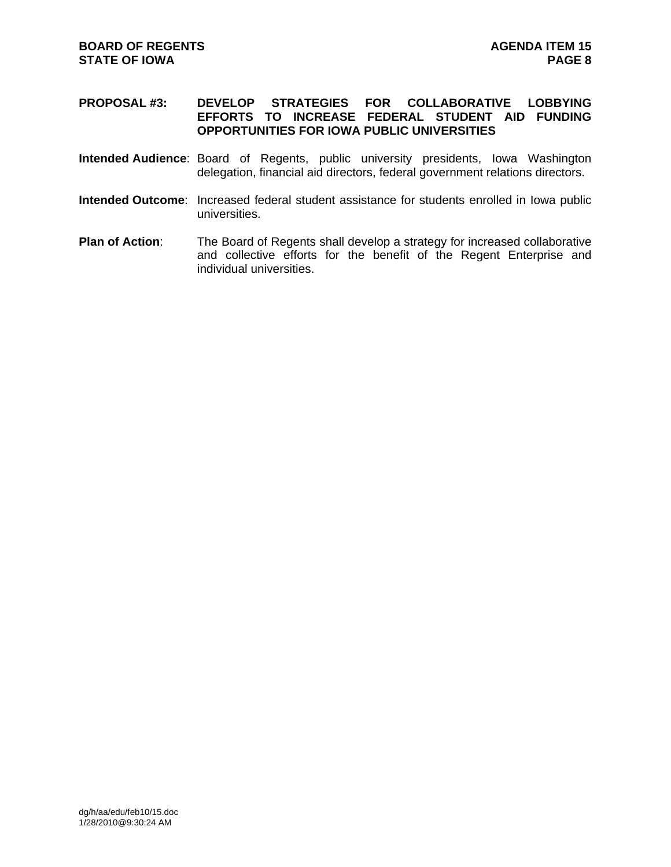### **PROPOSAL #3: DEVELOP STRATEGIES FOR COLLABORATIVE LOBBYING EFFORTS TO INCREASE FEDERAL STUDENT AID FUNDING OPPORTUNITIES FOR IOWA PUBLIC UNIVERSITIES**

- **Intended Audience**: Board of Regents, public university presidents, Iowa Washington delegation, financial aid directors, federal government relations directors.
- **Intended Outcome**: Increased federal student assistance for students enrolled in Iowa public universities.
- **Plan of Action:** The Board of Regents shall develop a strategy for increased collaborative and collective efforts for the benefit of the Regent Enterprise and individual universities.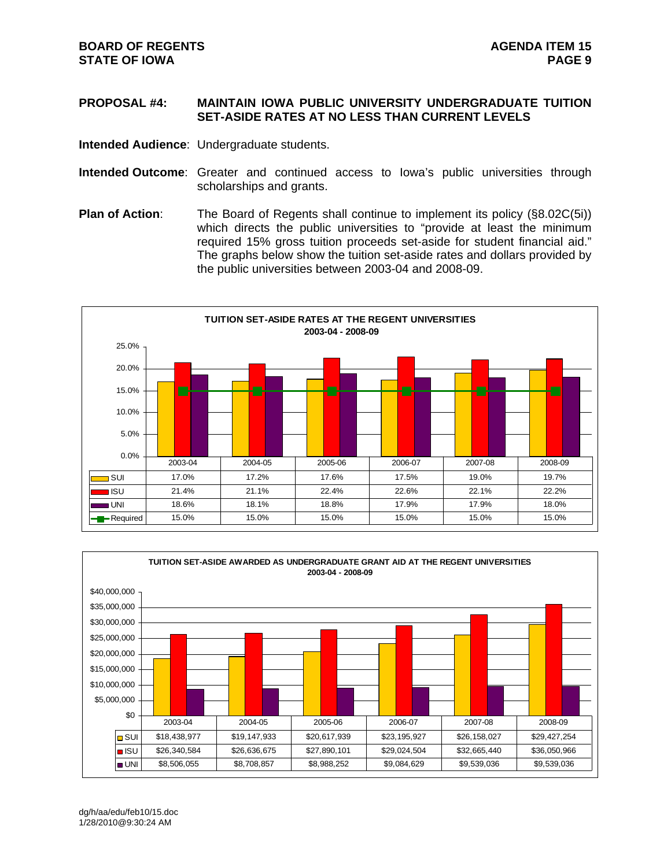# **PROPOSAL #4: MAINTAIN IOWA PUBLIC UNIVERSITY UNDERGRADUATE TUITION SET-ASIDE RATES AT NO LESS THAN CURRENT LEVELS**

**Intended Audience**: Undergraduate students.

- **Intended Outcome**: Greater and continued access to Iowa's public universities through scholarships and grants.
- **Plan of Action:** The Board of Regents shall continue to implement its policy (§8.02C(5i)) which directs the public universities to "provide at least the minimum required 15% gross tuition proceeds set-aside for student financial aid." The graphs below show the tuition set-aside rates and dollars provided by the public universities between 2003-04 and 2008-09.





dg/h/aa/edu/feb10/15.doc 1/28/2010@9:30:24 AM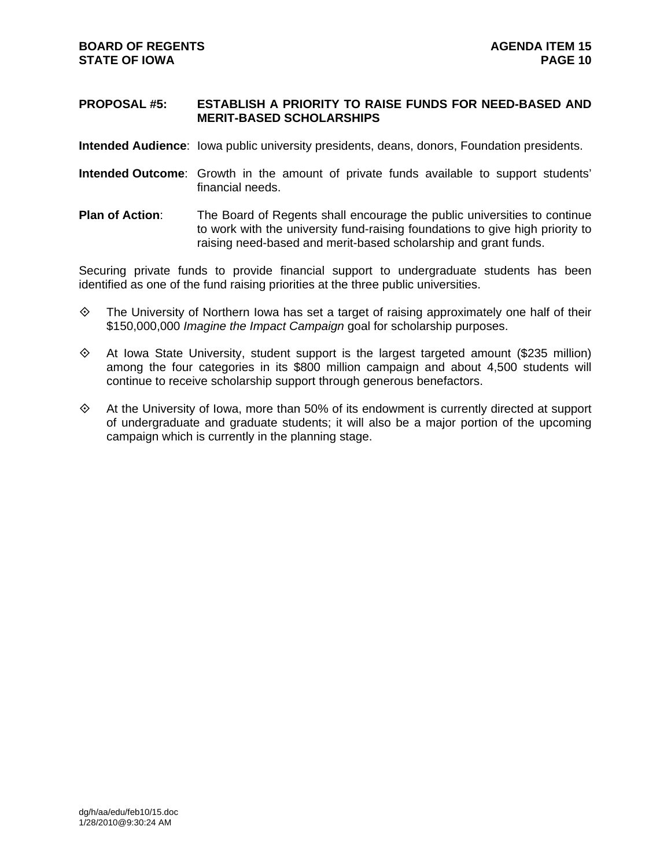#### **PROPOSAL #5: ESTABLISH A PRIORITY TO RAISE FUNDS FOR NEED-BASED AND MERIT-BASED SCHOLARSHIPS**

**Intended Audience**: Iowa public university presidents, deans, donors, Foundation presidents.

- **Intended Outcome**: Growth in the amount of private funds available to support students' financial needs.
- **Plan of Action**: The Board of Regents shall encourage the public universities to continue to work with the university fund-raising foundations to give high priority to raising need-based and merit-based scholarship and grant funds.

Securing private funds to provide financial support to undergraduate students has been identified as one of the fund raising priorities at the three public universities.

- $\diamond$  The University of Northern Iowa has set a target of raising approximately one half of their \$150,000,000 *Imagine the Impact Campaign* goal for scholarship purposes.
- $\diamond$  At Iowa State University, student support is the largest targeted amount (\$235 million) among the four categories in its \$800 million campaign and about 4,500 students will continue to receive scholarship support through generous benefactors.
- $\diamond$  At the University of Iowa, more than 50% of its endowment is currently directed at support of undergraduate and graduate students; it will also be a major portion of the upcoming campaign which is currently in the planning stage.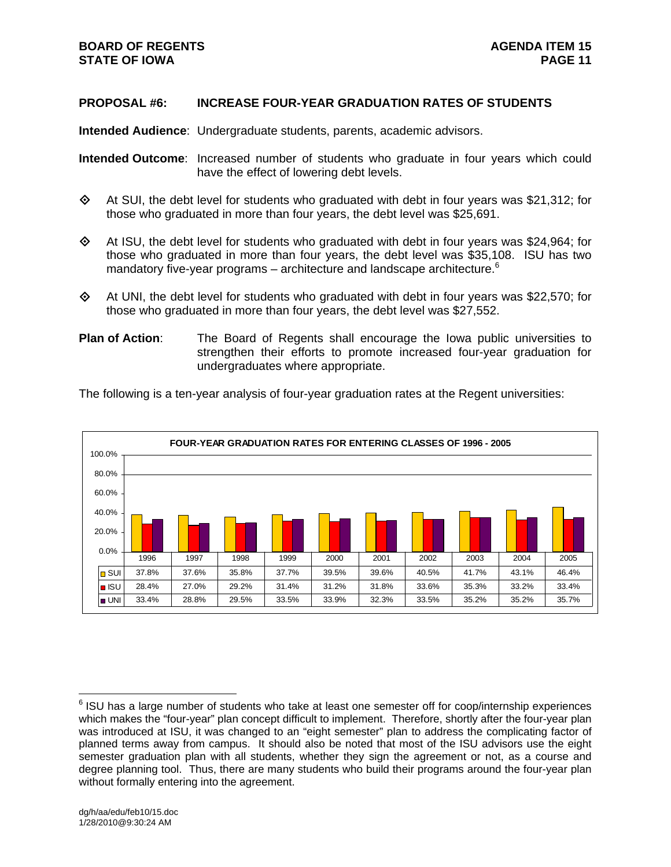# **PROPOSAL #6: INCREASE FOUR-YEAR GRADUATION RATES OF STUDENTS**

**Intended Audience**: Undergraduate students, parents, academic advisors.

**Intended Outcome**: Increased number of students who graduate in four years which could have the effect of lowering debt levels.

- $\diamond$  At SUI, the debt level for students who graduated with debt in four years was \$21,312; for those who graduated in more than four years, the debt level was \$25,691.
- $\diamond$  At ISU, the debt level for students who graduated with debt in four years was \$24,964; for those who graduated in more than four years, the debt level was \$35,108. ISU has two mandatory five-year programs – architecture and landscape architecture. $6$
- $\diamond$  At UNI, the debt level for students who graduated with debt in four years was \$22,570; for those who graduated in more than four years, the debt level was \$27,552.
- **Plan of Action**: The Board of Regents shall encourage the Iowa public universities to strengthen their efforts to promote increased four-year graduation for undergraduates where appropriate.

The following is a ten-year analysis of four-year graduation rates at the Regent universities:



 $\overline{a}$  $6$  ISU has a large number of students who take at least one semester off for coop/internship experiences which makes the "four-year" plan concept difficult to implement. Therefore, shortly after the four-year plan was introduced at ISU, it was changed to an "eight semester" plan to address the complicating factor of planned terms away from campus. It should also be noted that most of the ISU advisors use the eight semester graduation plan with all students, whether they sign the agreement or not, as a course and degree planning tool. Thus, there are many students who build their programs around the four-year plan without formally entering into the agreement.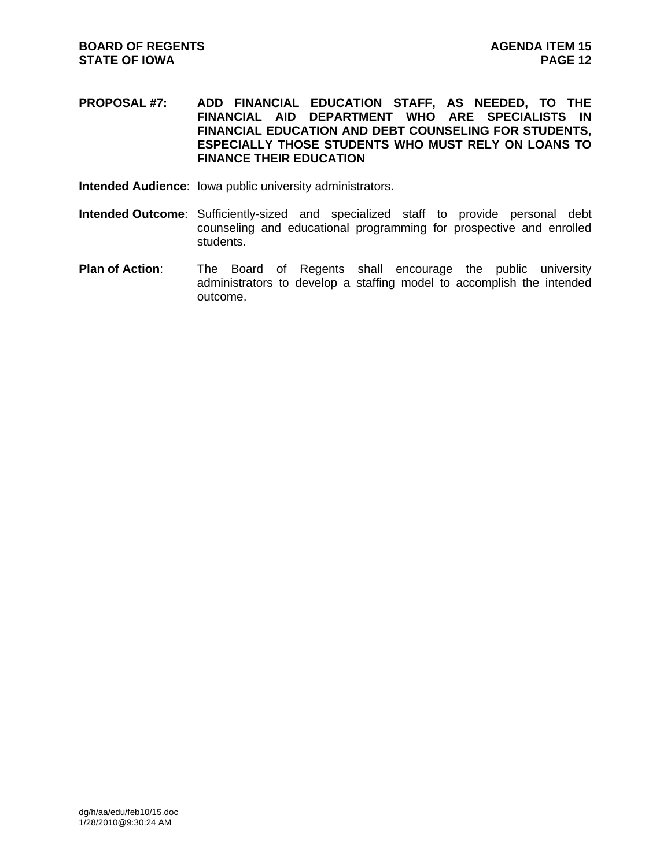**PROPOSAL #7: ADD FINANCIAL EDUCATION STAFF, AS NEEDED, TO THE FINANCIAL AID DEPARTMENT WHO ARE SPECIALISTS IN FINANCIAL EDUCATION AND DEBT COUNSELING FOR STUDENTS, ESPECIALLY THOSE STUDENTS WHO MUST RELY ON LOANS TO FINANCE THEIR EDUCATION** 

- **Intended Audience**: Iowa public university administrators.
- **Intended Outcome**: Sufficiently-sized and specialized staff to provide personal debt counseling and educational programming for prospective and enrolled students.
- **Plan of Action**: The Board of Regents shall encourage the public university administrators to develop a staffing model to accomplish the intended outcome.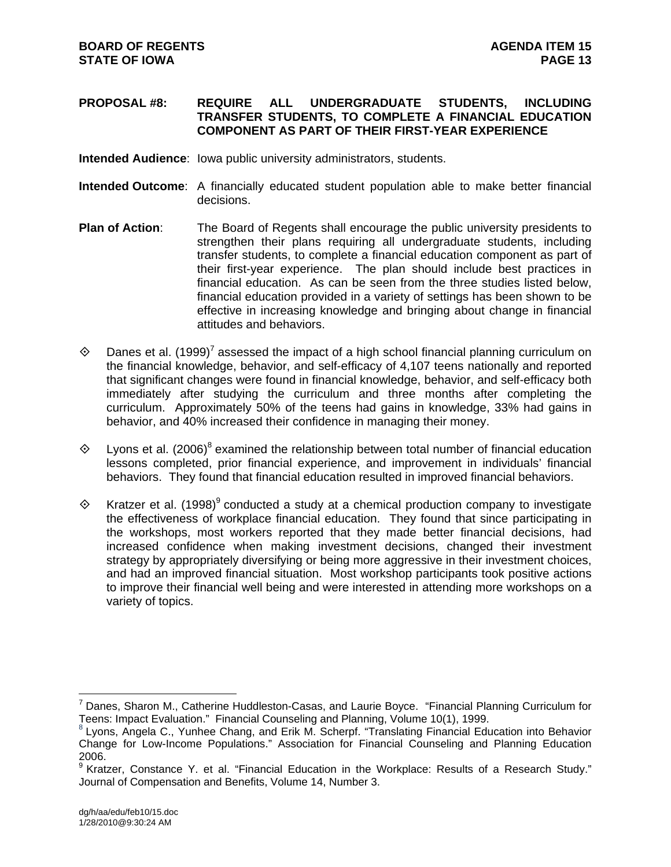### **PROPOSAL #8: REQUIRE ALL UNDERGRADUATE STUDENTS, INCLUDING TRANSFER STUDENTS, TO COMPLETE A FINANCIAL EDUCATION COMPONENT AS PART OF THEIR FIRST-YEAR EXPERIENCE**

- **Intended Audience**: Iowa public university administrators, students.
- **Intended Outcome**: A financially educated student population able to make better financial decisions.
- **Plan of Action**: The Board of Regents shall encourage the public university presidents to strengthen their plans requiring all undergraduate students, including transfer students, to complete a financial education component as part of their first-year experience. The plan should include best practices in financial education. As can be seen from the three studies listed below, financial education provided in a variety of settings has been shown to be effective in increasing knowledge and bringing about change in financial attitudes and behaviors.
- $\Diamond$  Danes et al. (1999)<sup>7</sup> assessed the impact of a high school financial planning curriculum on the financial knowledge, behavior, and self-efficacy of 4,107 teens nationally and reported that significant changes were found in financial knowledge, behavior, and self-efficacy both immediately after studying the curriculum and three months after completing the curriculum. Approximately 50% of the teens had gains in knowledge, 33% had gains in behavior, and 40% increased their confidence in managing their money.
- $\Diamond$  Lyons et al. (2006)<sup>8</sup> examined the relationship between total number of financial education lessons completed, prior financial experience, and improvement in individuals' financial behaviors. They found that financial education resulted in improved financial behaviors.
- $\Diamond$  Kratzer et al. (1998)<sup>9</sup> conducted a study at a chemical production company to investigate the effectiveness of workplace financial education. They found that since participating in the workshops, most workers reported that they made better financial decisions, had increased confidence when making investment decisions, changed their investment strategy by appropriately diversifying or being more aggressive in their investment choices, and had an improved financial situation. Most workshop participants took positive actions to improve their financial well being and were interested in attending more workshops on a variety of topics.

 $\overline{a}$ 

<sup>&</sup>lt;sup>7</sup> Danes, Sharon M., Catherine Huddleston-Casas, and Laurie Boyce. "Financial Planning Curriculum for Teens: Impact Evaluation." Financial Counseling and Planning, Volume 10(1), 1999.<br><sup>8</sup> Lyons, Angela C., Yunhee Chang, and Erik M. Scherpf. "Translating Financial Education into Behavior

Change for Low-Income Populations." Association for Financial Counseling and Planning Education 2006.

<sup>&</sup>lt;sup>9</sup> Kratzer, Constance Y. et al. "Financial Education in the Workplace: Results of a Research Study." Journal of Compensation and Benefits, Volume 14, Number 3.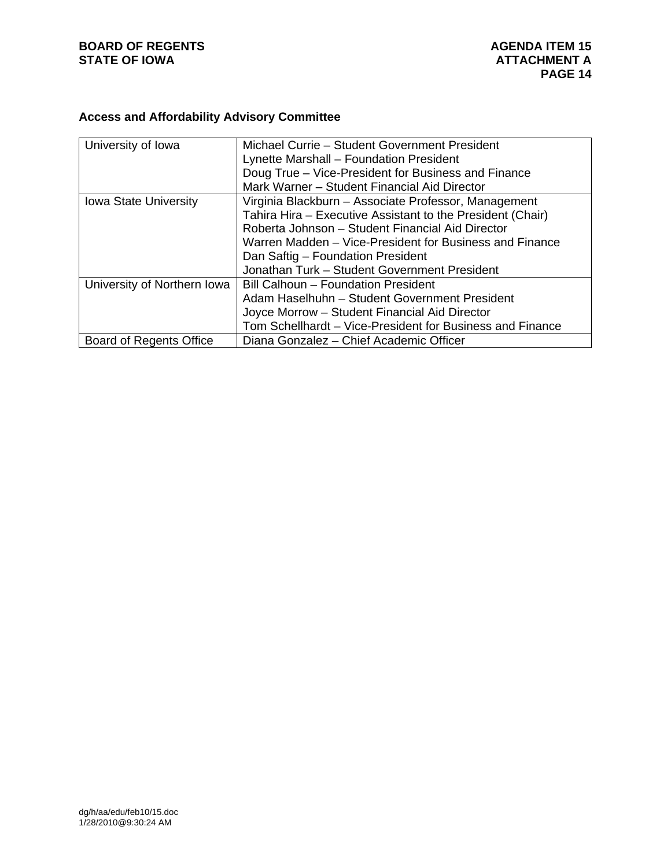# **BOARD OF REGENTS**<br> **BOARD OF REGENTS**<br> **STATE OF IOWA**<br> **ATTACHMENT A**

# **Access and Affordability Advisory Committee**

| University of Iowa             | Michael Currie - Student Government President              |
|--------------------------------|------------------------------------------------------------|
|                                | Lynette Marshall - Foundation President                    |
|                                | Doug True - Vice-President for Business and Finance        |
|                                | Mark Warner - Student Financial Aid Director               |
| <b>Iowa State University</b>   | Virginia Blackburn – Associate Professor, Management       |
|                                | Tahira Hira – Executive Assistant to the President (Chair) |
|                                | Roberta Johnson - Student Financial Aid Director           |
|                                | Warren Madden – Vice-President for Business and Finance    |
|                                | Dan Saftig - Foundation President                          |
|                                | Jonathan Turk - Student Government President               |
| University of Northern Iowa    | Bill Calhoun - Foundation President                        |
|                                | Adam Haselhuhn - Student Government President              |
|                                | Joyce Morrow - Student Financial Aid Director              |
|                                | Tom Schellhardt – Vice-President for Business and Finance  |
| <b>Board of Regents Office</b> | Diana Gonzalez - Chief Academic Officer                    |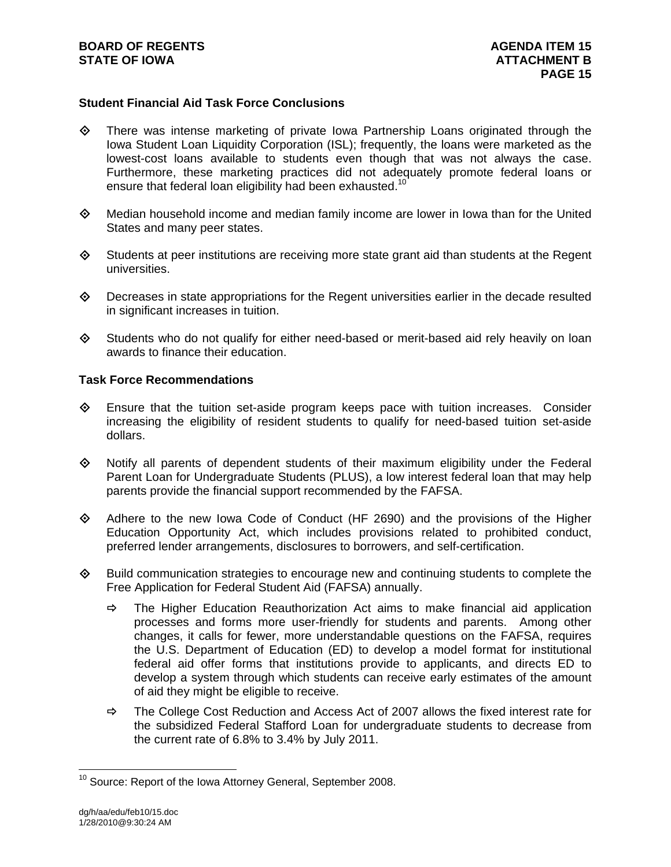# **Student Financial Aid Task Force Conclusions**

- $\Leftrightarrow$  There was intense marketing of private lowa Partnership Loans originated through the Iowa Student Loan Liquidity Corporation (ISL); frequently, the loans were marketed as the lowest-cost loans available to students even though that was not always the case. Furthermore, these marketing practices did not adequately promote federal loans or ensure that federal loan eligibility had been exhausted.<sup>10</sup>
- $\Leftrightarrow$  Median household income and median family income are lower in lowa than for the United States and many peer states.
- $\diamond$  Students at peer institutions are receiving more state grant aid than students at the Regent universities.
- $\diamond$  Decreases in state appropriations for the Regent universities earlier in the decade resulted in significant increases in tuition.
- $\diamond$  Students who do not qualify for either need-based or merit-based aid rely heavily on loan awards to finance their education.

#### **Task Force Recommendations**

- $\diamond$  Ensure that the tuition set-aside program keeps pace with tuition increases. Consider increasing the eligibility of resident students to qualify for need-based tuition set-aside dollars.
- Notify all parents of dependent students of their maximum eligibility under the Federal Parent Loan for Undergraduate Students (PLUS), a low interest federal loan that may help parents provide the financial support recommended by the FAFSA.
- Adhere to the new Iowa Code of Conduct (HF 2690) and the provisions of the Higher Education Opportunity Act, which includes provisions related to prohibited conduct, preferred lender arrangements, disclosures to borrowers, and self-certification.
- $\Diamond$  Build communication strategies to encourage new and continuing students to complete the Free Application for Federal Student Aid (FAFSA) annually.
	- $\Rightarrow$  The Higher Education Reauthorization Act aims to make financial aid application processes and forms more user-friendly for students and parents. Among other changes, it calls for fewer, more understandable questions on the FAFSA, requires the U.S. Department of Education (ED) to develop a model format for institutional federal aid offer forms that institutions provide to applicants, and directs ED to develop a system through which students can receive early estimates of the amount of aid they might be eligible to receive.
	- $\Rightarrow$  The College Cost Reduction and Access Act of 2007 allows the fixed interest rate for the subsidized Federal Stafford Loan for undergraduate students to decrease from the current rate of 6.8% to 3.4% by July 2011.

 $\overline{a}$ 

 $10$  Source: Report of the Iowa Attorney General, September 2008.